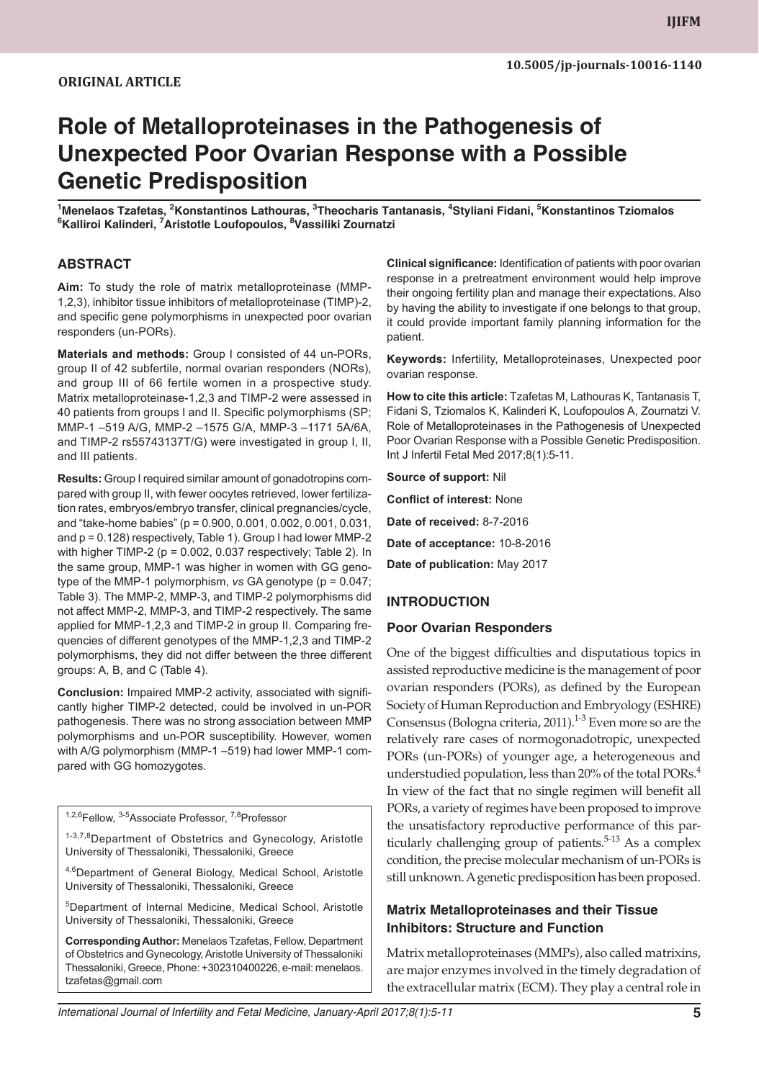### **ORIGINAL ARTICLE**

# **Role of Metalloproteinases in the Pathogenesis of Unexpected Poor Ovarian Response with a Possible Genetic Predisposition**

**1 Menelaos Tzafetas, <sup>2</sup> Konstantinos Lathouras, 3 Theocharis Tantanasis, 4 Styliani Fidani, 5 Konstantinos Tziomalos 6 Kalliroi Kalinderi, 7 Aristotle Loufopoulos, 8 Vassiliki Zournatzi**

### **ABSTRACT**

**Aim:** To study the role of matrix metalloproteinase (MMP-1,2,3), inhibitor tissue inhibitors of metalloproteinase (TIMP)-2, and specific gene polymorphisms in unexpected poor ovarian responders (un-PORs).

**Materials and methods:** Group I consisted of 44 un-PORs, group II of 42 subfertile, normal ovarian responders (NORs), and group III of 66 fertile women in a prospective study. Matrix metalloproteinase-1,2,3 and TIMP-2 were assessed in 40 patients from groups I and II. Specific polymorphisms (SP; MMP-1 –519 A/G, MMP-2 –1575 G/A, MMP-3 –1171 5A/6A, and TIMP-2 rs55743137T/G) were investigated in group I, II, and III patients.

**Results:** Group I required similar amount of gonadotropins compared with group II, with fewer oocytes retrieved, lower fertilization rates, embryos/embryo transfer, clinical pregnancies/cycle, and "take-home babies" (p = 0.900, 0.001, 0.002, 0.001, 0.031, and p = 0.128) respectively, Table 1). Group I had lower MMP-2 with higher TIMP-2 ( $p = 0.002$ , 0.037 respectively; Table 2). In the same group, MMP-1 was higher in women with GG genotype of the MMP-1 polymorphism, *vs* GA genotype (p = 0.047; Table 3). The MMP-2, MMP-3, and TIMP-2 polymorphisms did not affect MMP-2, MMP-3, and TIMP-2 respectively. The same applied for MMP-1,2,3 and TIMP-2 in group II. Comparing frequencies of different genotypes of the MMP-1,2,3 and TIMP-2 polymorphisms, they did not differ between the three different groups: A, B, and C (Table 4).

**Conclusion:** Impaired MMP-2 activity, associated with significantly higher TIMP-2 detected, could be involved in un-POR pathogenesis. There was no strong association between MMP polymorphisms and un-POR susceptibility. However, women with A/G polymorphism (MMP-1 –519) had lower MMP-1 compared with GG homozygotes.

<sup>1,2,6</sup>Fellow, <sup>3-5</sup>Associate Professor, <sup>7,8</sup>Professor

1-3,7,8Department of Obstetrics and Gynecology, Aristotle University of Thessaloniki, Thessaloniki, Greece

4,6Department of General Biology, Medical School, Aristotle University of Thessaloniki, Thessaloniki, Greece

5 Department of Internal Medicine, Medical School, Aristotle University of Thessaloniki, Thessaloniki, Greece

**Corresponding Author:** Menelaos Tzafetas, Fellow, Department of Obstetrics and Gynecology, Aristotle University of Thessaloniki Thessaloniki, Greece, Phone: +302310400226, e-mail: menelaos. tzafetas@gmail.com

**Clinical significance:** Identification of patients with poor ovarian response in a pretreatment environment would help improve their ongoing fertility plan and manage their expectations. Also by having the ability to investigate if one belongs to that group, it could provide important family planning information for the patient.

**Keywords:** Infertility, Metalloproteinases, Unexpected poor ovarian response.

**How to cite this article:** Tzafetas M, Lathouras K, Tantanasis T, Fidani S, Tziomalos K, Kalinderi K, Loufopoulos A, Zournatzi V. Role of Metalloproteinases in the Pathogenesis of Unexpected Poor Ovarian Response with a Possible Genetic Predisposition. Int J Infertil Fetal Med 2017;8(1):5-11.

**Source of support:** Nil

**Conflict of interest:** None **Date of received:** 8-7-2016 **Date of acceptance:** 10-8-2016

**Date of publication:** May 2017

## **INTRODUCTION**

#### **Poor Ovarian Responders**

One of the biggest difficulties and disputatious topics in assisted reproductive medicine is the management of poor ovarian responders (PORs), as defined by the European Society of Human Reproduction and Embryology (ESHRE) Consensus (Bologna criteria, 2011).<sup>1-3</sup> Even more so are the relatively rare cases of normogonadotropic, unexpected PORs (un-PORs) of younger age, a heterogeneous and understudied population, less than 20% of the total PORs.<sup>4</sup> In view of the fact that no single regimen will benefit all PORs, a variety of regimes have been proposed to improve the unsatisfactory reproductive performance of this particularly challenging group of patients. $5-13$  As a complex condition, the precise molecular mechanism of un-PORs is still unknown. A genetic predisposition has been proposed.

## **Matrix Metalloproteinases and their Tissue Inhibitors: Structure and Function**

Matrix metalloproteinases (MMPs), also called matrixins, are major enzymes involved in the timely degradation of the extracellular matrix (ECM). They play a central role in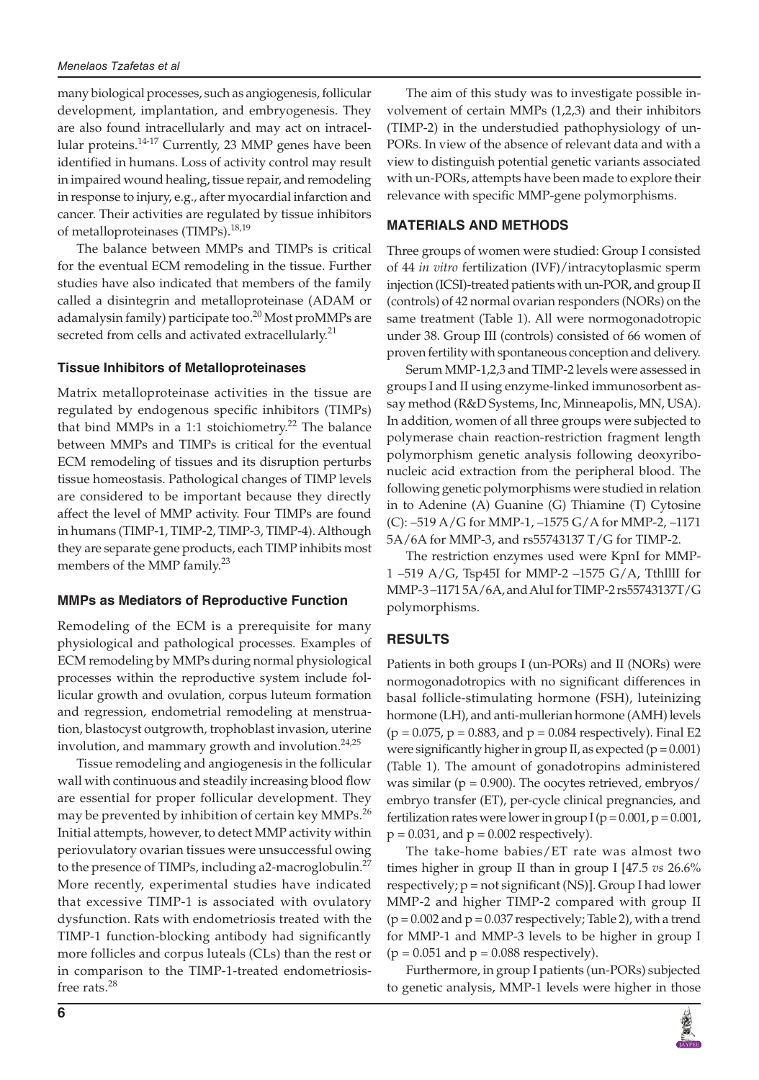many biological processes, such as angiogenesis, follicular development, implantation, and embryogenesis. They are also found intracellularly and may act on intracellular proteins. $14-17$  Currently, 23 MMP genes have been identified in humans. Loss of activity control may result in impaired wound healing, tissue repair, and remodeling in response to injury, e.g., after myocardial infarction and cancer. Their activities are regulated by tissue inhibitors of metalloproteinases (TIMPs).<sup>18,19</sup>

The balance between MMPs and TIMPs is critical for the eventual ECM remodeling in the tissue. Further studies have also indicated that members of the family called a disintegrin and metalloproteinase (ADAM or adamalysin family) participate too.<sup>20</sup> Most proMMPs are secreted from cells and activated extracellularly.<sup>21</sup>

#### **Tissue Inhibitors of Metalloproteinases**

Matrix metalloproteinase activities in the tissue are regulated by endogenous specific inhibitors (TIMPs) that bind MMPs in a 1:1 stoichiometry.<sup>22</sup> The balance between MMPs and TIMPs is critical for the eventual ECM remodeling of tissues and its disruption perturbs tissue homeostasis. Pathological changes of TIMP levels are considered to be important because they directly affect the level of MMP activity. Four TIMPs are found in humans (TIMP-1, TIMP-2, TIMP-3, TIMP-4). Although they are separate gene products, each TIMP inhibits most members of the MMP family.<sup>23</sup>

#### **MMPs as Mediators of Reproductive Function**

Remodeling of the ECM is a prerequisite for many physiological and pathological processes. Examples of ECM remodeling by MMPs during normal physiological processes within the reproductive system include follicular growth and ovulation, corpus luteum formation and regression, endometrial remodeling at menstruation, blastocyst outgrowth, trophoblast invasion, uterine involution, and mammary growth and involution.<sup>24,25</sup>

Tissue remodeling and angiogenesis in the follicular wall with continuous and steadily increasing blood flow are essential for proper follicular development. They may be prevented by inhibition of certain key MMPs.<sup>26</sup> Initial attempts, however, to detect MMP activity within periovulatory ovarian tissues were unsuccessful owing to the presence of TIMPs, including a2-macroglobulin. $^{27}$ More recently, experimental studies have indicated that excessive TIMP-1 is associated with ovulatory dysfunction. Rats with endometriosis treated with the TIMP-1 function-blocking antibody had significantly more follicles and corpus luteals (CLs) than the rest or in comparison to the TIMP-1-treated endometriosisfree rats.<sup>28</sup>

The aim of this study was to investigate possible involvement of certain MMPs (1,2,3) and their inhibitors (TIMP-2) in the understudied pathophysiology of un-PORs. In view of the absence of relevant data and with a view to distinguish potential genetic variants associated with un-PORs, attempts have been made to explore their relevance with specific MMP-gene polymorphisms.

#### **MATERIALS AND METHODS**

Three groups of women were studied: Group I consisted of 44 *in vitro* fertilization (IVF)/intracytoplasmic sperm injection (ICSI)-treated patients with un-POR, and group II (controls) of 42 normal ovarian responders (NORs) on the same treatment (Table 1). All were normogonadotropic under 38. Group III (controls) consisted of 66 women of proven fertility with spontaneous conception and delivery.

Serum MMP-1,2,3 and TIMP-2 levels were assessed in groups I and II using enzyme-linked immunosorbent assay method (R&D Systems, Inc, Minneapolis, MN, USA). In addition, women of all three groups were subjected to polymerase chain reaction-restriction fragment length polymorphism genetic analysis following deoxyribonucleic acid extraction from the peripheral blood. The following genetic polymorphisms were studied in relation in to Adenine (A) Guanine (G) Thiamine (T) Cytosine (C): –519 A/G for MMP-1, –1575 G/A for MMP-2, –1171 5A/6A for MMP-3, and rs55743137 T/G for TIMP-2.

The restriction enzymes used were KpnI for MMP-1 –519 A/G, Tsp45I for MMP-2 –1575 G/A, TthlllI for MMP-3 –1171 5A/6A, and AluI for TIMP-2 rs55743137T/G polymorphisms.

#### **RESULTS**

Patients in both groups I (un-PORs) and II (NORs) were normogonadotropics with no significant differences in basal follicle-stimulating hormone (FSH), luteinizing hormone (LH), and anti-mullerian hormone (AMH) levels  $(p = 0.075, p = 0.883,$  and  $p = 0.084$  respectively). Final E2 were significantly higher in group II, as expected ( $p = 0.001$ ) (Table 1). The amount of gonadotropins administered was similar ( $p = 0.900$ ). The oocytes retrieved, embryos/ embryo transfer (ET), per-cycle clinical pregnancies, and fertilization rates were lower in group  $I (p = 0.001, p = 0.001, p = 0.001)$  $p = 0.031$ , and  $p = 0.002$  respectively).

The take-home babies/ET rate was almost two times higher in group II than in group I [47.5 *vs* 26.6% respectively;  $p = not$  significant (NS)]. Group I had lower MMP-2 and higher TIMP-2 compared with group II  $(p = 0.002$  and  $p = 0.037$  respectively; Table 2), with a trend for MMP-1 and MMP-3 levels to be higher in group I  $(p = 0.051$  and  $p = 0.088$  respectively).

Furthermore, in group I patients (un-PORs) subjected to genetic analysis, MMP-1 levels were higher in those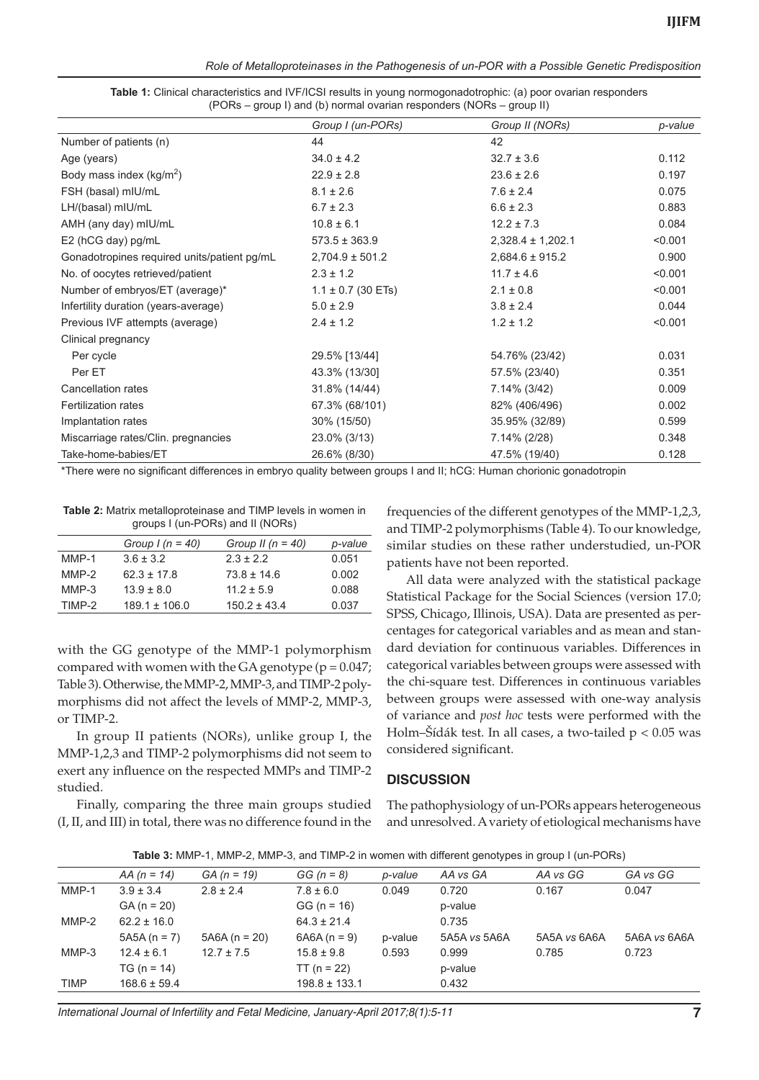*Role of Metalloproteinases in the Pathogenesis of un-POR with a Possible Genetic Predisposition*

| Table 1: Clinical characteristics and IVF/ICSI results in young normogonadotrophic: (a) poor ovarian responders |  |
|-----------------------------------------------------------------------------------------------------------------|--|
| (PORs – group I) and (b) normal ovarian responders (NORs – group II)                                            |  |

|                                             | Group I (un-PORs)      | Group II (NORs)       | p-value |
|---------------------------------------------|------------------------|-----------------------|---------|
| Number of patients (n)                      | 44                     | 42                    |         |
| Age (years)                                 | $34.0 \pm 4.2$         | $32.7 \pm 3.6$        | 0.112   |
| Body mass index $(kg/m^2)$                  | $22.9 \pm 2.8$         | $23.6 \pm 2.6$        | 0.197   |
| FSH (basal) mIU/mL                          | $8.1 \pm 2.6$          | $7.6 \pm 2.4$         | 0.075   |
| LH/(basal) mIU/mL                           | $6.7 \pm 2.3$          | $6.6 \pm 2.3$         | 0.883   |
| AMH (any day) mIU/mL                        | $10.8 \pm 6.1$         | $12.2 \pm 7.3$        | 0.084   |
| E2 (hCG day) pg/mL                          | $573.5 \pm 363.9$      | $2,328.4 \pm 1,202.1$ | < 0.001 |
| Gonadotropines required units/patient pg/mL | $2,704.9 \pm 501.2$    | $2,684.6 \pm 915.2$   | 0.900   |
| No. of oocytes retrieved/patient            | $2.3 \pm 1.2$          | $11.7 \pm 4.6$        | < 0.001 |
| Number of embryos/ET (average)*             | $1.1 \pm 0.7$ (30 ETs) | $2.1 \pm 0.8$         | < 0.001 |
| Infertility duration (years-average)        | $5.0 \pm 2.9$          | $3.8 \pm 2.4$         | 0.044   |
| Previous IVF attempts (average)             | $2.4 \pm 1.2$          | $1.2 \pm 1.2$         | < 0.001 |
| Clinical pregnancy                          |                        |                       |         |
| Per cycle                                   | 29.5% [13/44]          | 54.76% (23/42)        | 0.031   |
| Per ET                                      | 43.3% (13/30]          | 57.5% (23/40)         | 0.351   |
| Cancellation rates                          | 31.8% (14/44)          | 7.14% (3/42)          | 0.009   |
| Fertilization rates                         | 67.3% (68/101)         | 82% (406/496)         | 0.002   |
| Implantation rates                          | 30% (15/50)            | 35.95% (32/89)        | 0.599   |
| Miscarriage rates/Clin. pregnancies         | 23.0% (3/13)           | 7.14% (2/28)          | 0.348   |
| Take-home-babies/ET                         | 26.6% (8/30)           | 47.5% (19/40)         | 0.128   |

\*There were no significant differences in embryo quality between groups I and II; hCG: Human chorionic gonadotropin

**Table 2:** Matrix metalloproteinase and TIMP levels in women in groups I (un-PORs) and II (NORs)

|         | Group $I(n = 40)$ | Group II ( $n = 40$ ) | p-value |
|---------|-------------------|-----------------------|---------|
| $MMP-1$ | $3.6 \pm 3.2$     | $2.3 \pm 2.2$         | 0.051   |
| $MMP-2$ | $62.3 \pm 17.8$   | $73.8 \pm 14.6$       | 0.002   |
| $MMP-3$ | $13.9 \pm 8.0$    | $11.2 \pm 5.9$        | 0.088   |
| TIMP-2  | $189.1 \pm 106.0$ | $150.2 \pm 43.4$      | 0.037   |
|         |                   |                       |         |

with the GG genotype of the MMP-1 polymorphism compared with women with the GA genotype ( $p = 0.047$ ; Table 3). Otherwise, the MMP-2, MMP-3, and TIMP-2 polymorphisms did not affect the levels of MMP-2, MMP-3, or TIMP-2.

In group II patients (NORs), unlike group I, the MMP-1,2,3 and TIMP-2 polymorphisms did not seem to exert any influence on the respected MMPs and TIMP-2 studied.

Finally, comparing the three main groups studied (I, II, and III) in total, there was no difference found in the frequencies of the different genotypes of the MMP-1,2,3, and TIMP-2 polymorphisms (Table 4). To our knowledge, similar studies on these rather understudied, un-POR patients have not been reported.

All data were analyzed with the statistical package Statistical Package for the Social Sciences (version 17.0; SPSS, Chicago, Illinois, USA). Data are presented as percentages for categorical variables and as mean and standard deviation for continuous variables. Differences in categorical variables between groups were assessed with the chi-square test. Differences in continuous variables between groups were assessed with one-way analysis of variance and *post hoc* tests were performed with the Holm–Šídák test. In all cases, a two-tailed  $p < 0.05$  was considered significant.

#### **DISCUSSION**

The pathophysiology of un-PORs appears heterogeneous and unresolved. A variety of etiological mechanisms have

|  | <b>Table 3:</b> MMP-1, MMP-2, MMP-3, and TIMP-2 in women with different genotypes in group I (un-PORs) |  |
|--|--------------------------------------------------------------------------------------------------------|--|
|--|--------------------------------------------------------------------------------------------------------|--|

|             | $AA (n = 14)$    | $GA (n = 19)$  | $GG (n = 8)$      | p-value | AA vs GA     | AA vs GG     | GA vs GG     |
|-------------|------------------|----------------|-------------------|---------|--------------|--------------|--------------|
| $MMP-1$     | $3.9 \pm 3.4$    | $2.8 \pm 2.4$  | $7.8 \pm 6.0$     | 0.049   | 0.720        | 0.167        | 0.047        |
|             | $GA (n = 20)$    |                | $GG (n = 16)$     |         | p-value      |              |              |
| $MMP-2$     | $62.2 \pm 16.0$  |                | $64.3 \pm 21.4$   |         | 0.735        |              |              |
|             | $5A5A(n = 7)$    | $5A6A(n = 20)$ | $6A6A(n = 9)$     | p-value | 5A5A vs 5A6A | 5A5A vs 6A6A | 5A6A vs 6A6A |
| MMP-3       | $12.4 \pm 6.1$   | $12.7 \pm 7.5$ | $15.8 \pm 9.8$    | 0.593   | 0.999        | 0.785        | 0.723        |
|             | $TG (n = 14)$    |                | $TT (n = 22)$     |         | p-value      |              |              |
| <b>TIMP</b> | $168.6 \pm 59.4$ |                | $198.8 \pm 133.1$ |         | 0.432        |              |              |

*International Journal of Infertility and Fetal Medicine, January-April 2017;8(1):5-11* **7**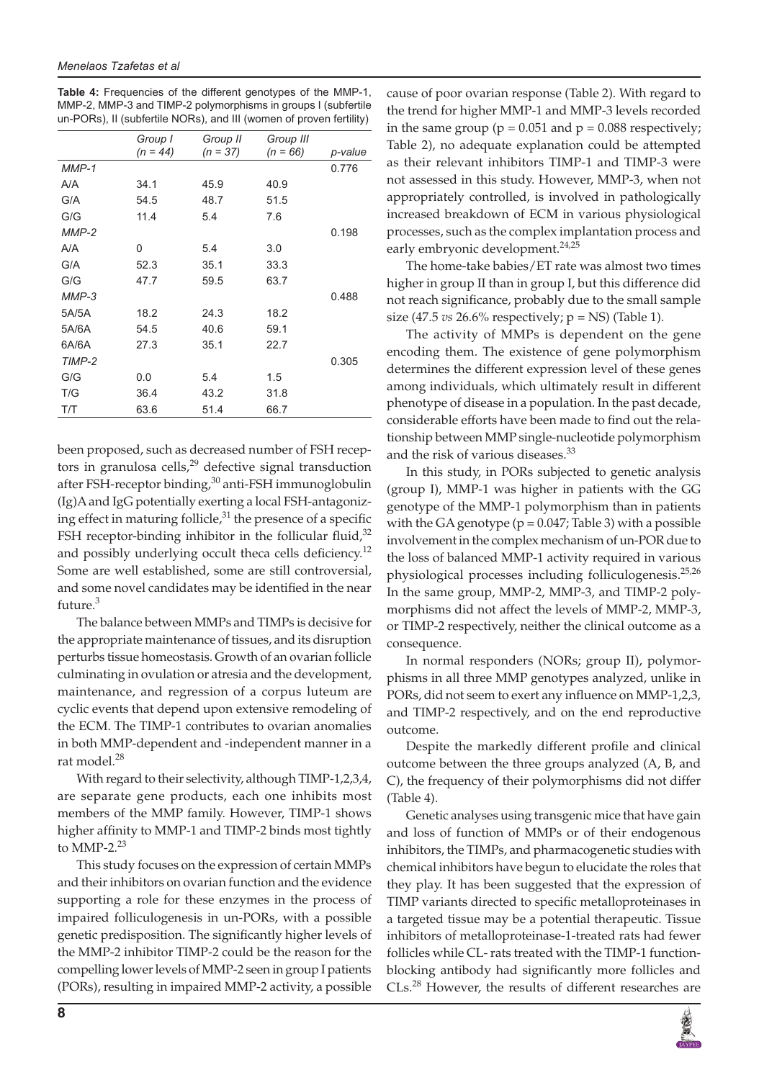**Table 4:** Frequencies of the different genotypes of the MMP-1, MMP-2, MMP-3 and TIMP-2 polymorphisms in groups I (subfertile un-PORs), II (subfertile NORs), and III (women of proven fertility)

|         | Group I    | Group II   | Group III  |         |
|---------|------------|------------|------------|---------|
|         | $(n = 44)$ | $(n = 37)$ | $(n = 66)$ | p-value |
| $MMP-1$ |            |            |            | 0.776   |
| A/A     | 34.1       | 45.9       | 40.9       |         |
| G/A     | 54.5       | 48.7       | 51.5       |         |
| G/G     | 11.4       | 5.4        | 7.6        |         |
| $MMP-2$ |            |            |            | 0.198   |
| A/A     | 0          | 5.4        | 3.0        |         |
| G/A     | 52.3       | 35.1       | 33.3       |         |
| G/G     | 47.7       | 59.5       | 63.7       |         |
| $MMP-3$ |            |            |            | 0.488   |
| 5A/5A   | 18.2       | 24.3       | 18.2       |         |
| 5A/6A   | 54.5       | 40.6       | 59.1       |         |
| 6A/6A   | 27.3       | 35.1       | 22.7       |         |
| TIMP-2  |            |            |            | 0.305   |
| G/G     | 0.0        | 5.4        | 1.5        |         |
| T/G     | 36.4       | 43.2       | 31.8       |         |
| T/T     | 63.6       | 51.4       | 66.7       |         |

been proposed, such as decreased number of FSH receptors in granulosa cells, $29$  defective signal transduction after FSH-receptor binding,<sup>30</sup> anti-FSH immunoglobulin (Ig)A and IgG potentially exerting a local FSH-antagonizing effect in maturing follicle, $31$  the presence of a specific FSH receptor-binding inhibitor in the follicular fluid, $32$ and possibly underlying occult theca cells deficiency.<sup>12</sup> Some are well established, some are still controversial, and some novel candidates may be identified in the near future.<sup>3</sup>

The balance between MMPs and TIMPs is decisive for the appropriate maintenance of tissues, and its disruption perturbs tissue homeostasis. Growth of an ovarian follicle culminating in ovulation or atresia and the development, maintenance, and regression of a corpus luteum are cyclic events that depend upon extensive remodeling of the ECM. The TIMP-1 contributes to ovarian anomalies in both MMP-dependent and -independent manner in a rat model.<sup>28</sup>

With regard to their selectivity, although TIMP-1,2,3,4, are separate gene products, each one inhibits most members of the MMP family. However, TIMP-1 shows higher affinity to MMP-1 and TIMP-2 binds most tightly to MMP-2. $23$ 

This study focuses on the expression of certain MMPs and their inhibitors on ovarian function and the evidence supporting a role for these enzymes in the process of impaired folliculogenesis in un-PORs, with a possible genetic predisposition. The significantly higher levels of the MMP-2 inhibitor TIMP-2 could be the reason for the compelling lower levels of MMP-2 seen in group I patients (PORs), resulting in impaired MMP-2 activity, a possible

cause of poor ovarian response (Table 2). With regard to the trend for higher MMP-1 and MMP-3 levels recorded in the same group ( $p = 0.051$  and  $p = 0.088$  respectively; Table 2), no adequate explanation could be attempted as their relevant inhibitors TIMP-1 and TIMP-3 were not assessed in this study. However, MMP-3, when not appropriately controlled, is involved in pathologically increased breakdown of ECM in various physiological processes, such as the complex implantation process and early embryonic development.<sup>24,25</sup>

The home-take babies/ET rate was almost two times higher in group II than in group I, but this difference did not reach significance, probably due to the small sample size (47.5 *vs* 26.6% respectively; p = NS) (Table 1).

The activity of MMPs is dependent on the gene encoding them. The existence of gene polymorphism determines the different expression level of these genes among individuals, which ultimately result in different phenotype of disease in a population. In the past decade, considerable efforts have been made to find out the relationship between MMP single-nucleotide polymorphism and the risk of various diseases.<sup>33</sup>

In this study, in PORs subjected to genetic analysis (group I), MMP-1 was higher in patients with the GG genotype of the MMP-1 polymorphism than in patients with the GA genotype ( $p = 0.047$ ; Table 3) with a possible involvement in the complex mechanism of un-POR due to the loss of balanced MMP-1 activity required in various physiological processes including folliculogenesis.<sup>25,26</sup> In the same group, MMP-2, MMP-3, and TIMP-2 polymorphisms did not affect the levels of MMP-2, MMP-3, or TIMP-2 respectively, neither the clinical outcome as a consequence.

In normal responders (NORs; group II), polymorphisms in all three MMP genotypes analyzed, unlike in PORs, did not seem to exert any influence on MMP-1,2,3, and TIMP-2 respectively, and on the end reproductive outcome.

Despite the markedly different profile and clinical outcome between the three groups analyzed (A, B, and C), the frequency of their polymorphisms did not differ (Table 4).

Genetic analyses using transgenic mice that have gain and loss of function of MMPs or of their endogenous inhibitors, the TIMPs, and pharmacogenetic studies with chemical inhibitors have begun to elucidate the roles that they play. It has been suggested that the expression of TIMP variants directed to specific metalloproteinases in a targeted tissue may be a potential therapeutic. Tissue inhibitors of metalloproteinase-1-treated rats had fewer follicles while CL- rats treated with the TIMP-1 functionblocking antibody had significantly more follicles and CLs.28 However, the results of different researches are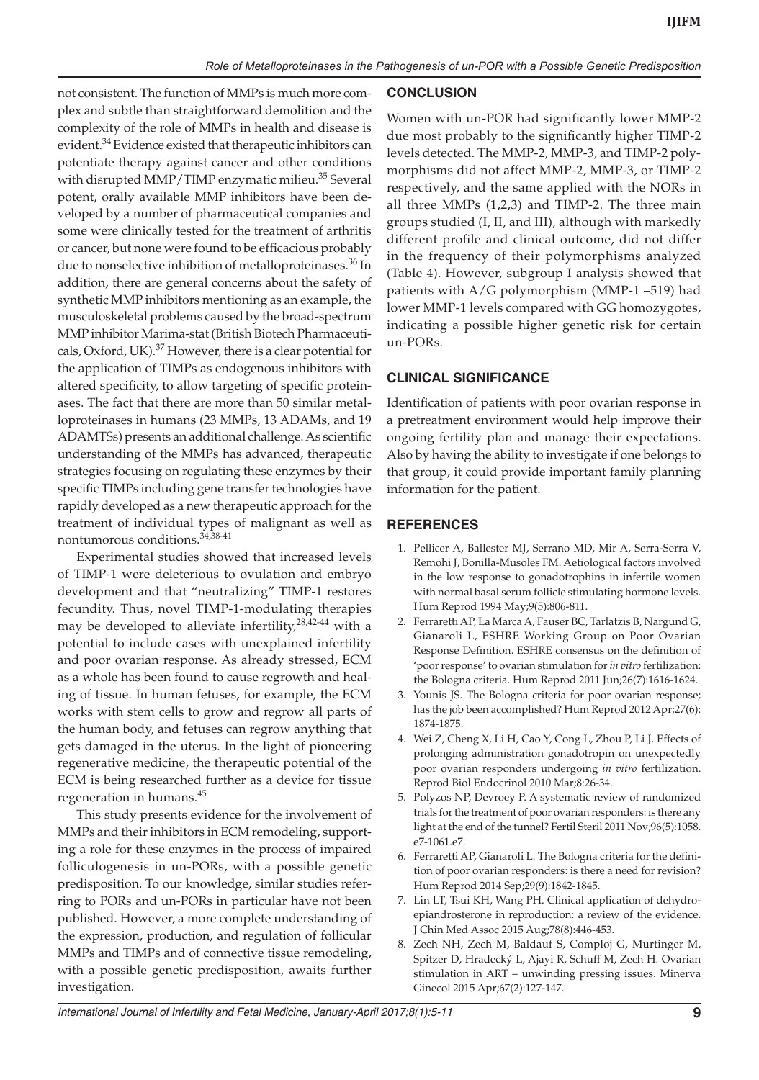not consistent. The function of MMPs is much more complex and subtle than straightforward demolition and the complexity of the role of MMPs in health and disease is evident.<sup>34</sup> Evidence existed that therapeutic inhibitors can potentiate therapy against cancer and other conditions with disrupted MMP/TIMP enzymatic milieu.<sup>35</sup> Several potent, orally available MMP inhibitors have been developed by a number of pharmaceutical companies and some were clinically tested for the treatment of arthritis or cancer, but none were found to be efficacious probably due to nonselective inhibition of metalloproteinases.<sup>36</sup> In addition, there are general concerns about the safety of synthetic MMP inhibitors mentioning as an example, the musculoskeletal problems caused by the broad-spectrum MMP inhibitor Marima-stat (British Biotech Pharmaceuticals, Oxford, UK).<sup>37</sup> However, there is a clear potential for the application of TIMPs as endogenous inhibitors with altered specificity, to allow targeting of specific proteinases. The fact that there are more than 50 similar metalloproteinases in humans (23 MMPs, 13 ADAMs, and 19 ADAMTSs) presents an additional challenge. As scientific understanding of the MMPs has advanced, therapeutic strategies focusing on regulating these enzymes by their specific TIMPs including gene transfer technologies have rapidly developed as a new therapeutic approach for the treatment of individual types of malignant as well as nontumorous conditions.34,38-41

Experimental studies showed that increased levels of TIMP-1 were deleterious to ovulation and embryo development and that "neutralizing" TIMP-1 restores fecundity. Thus, novel TIMP-1-modulating therapies may be developed to alleviate infertility,<sup>28,42-44</sup> with a potential to include cases with unexplained infertility and poor ovarian response. As already stressed, ECM as a whole has been found to cause regrowth and healing of tissue. In human fetuses, for example, the ECM works with stem cells to grow and regrow all parts of the human body, and fetuses can regrow anything that gets damaged in the uterus. In the light of pioneering regenerative medicine, the therapeutic potential of the ECM is being researched further as a device for tissue regeneration in humans.<sup>45</sup>

This study presents evidence for the involvement of MMPs and their inhibitors in ECM remodeling, supporting a role for these enzymes in the process of impaired folliculogenesis in un-PORs, with a possible genetic predisposition. To our knowledge, similar studies referring to PORs and un-PORs in particular have not been published. However, a more complete understanding of the expression, production, and regulation of follicular MMPs and TIMPs and of connective tissue remodeling, with a possible genetic predisposition, awaits further investigation.

### **CONCLUSION**

Women with un-POR had significantly lower MMP-2 due most probably to the significantly higher TIMP-2 levels detected. The MMP-2, MMP-3, and TIMP-2 polymorphisms did not affect MMP-2, MMP-3, or TIMP-2 respectively, and the same applied with the NORs in all three MMPs (1,2,3) and TIMP-2. The three main groups studied (I, II, and III), although with markedly different profile and clinical outcome, did not differ in the frequency of their polymorphisms analyzed (Table 4). However, subgroup I analysis showed that patients with A/G polymorphism (MMP-1 –519) had lower MMP-1 levels compared with GG homozygotes, indicating a possible higher genetic risk for certain un-PORs.

## **Clinical Significance**

Identification of patients with poor ovarian response in a pretreatment environment would help improve their ongoing fertility plan and manage their expectations. Also by having the ability to investigate if one belongs to that group, it could provide important family planning information for the patient.

## **REFERENCES**

- 1. Pellicer A, Ballester MJ, Serrano MD, Mir A, Serra-Serra V, Remohi J, Bonilla-Musoles FM. Aetiological factors involved in the low response to gonadotrophins in infertile women with normal basal serum follicle stimulating hormone levels. Hum Reprod 1994 May;9(5):806-811.
- 2. Ferraretti AP, La Marca A, Fauser BC, Tarlatzis B, Nargund G, Gianaroli L, ESHRE Working Group on Poor Ovarian Response Definition. ESHRE consensus on the definition of 'poor response' to ovarian stimulation for *in vitro* fertilization: the Bologna criteria. Hum Reprod 2011 Jun;26(7):1616-1624.
- 3. Younis JS. The Bologna criteria for poor ovarian response; has the job been accomplished? Hum Reprod 2012 Apr;27(6): 1874-1875.
- 4. Wei Z, Cheng X, Li H, Cao Y, Cong L, Zhou P, Li J. Effects of prolonging administration gonadotropin on unexpectedly poor ovarian responders undergoing *in vitro* fertilization. Reprod Biol Endocrinol 2010 Mar;8:26-34.
- 5. Polyzos NP, Devroey P. A systematic review of randomized trials for the treatment of poor ovarian responders: is there any light at the end of the tunnel? Fertil Steril 2011 Nov;96(5):1058. e7-1061.e7.
- 6. Ferraretti AP, Gianaroli L. The Bologna criteria for the definition of poor ovarian responders: is there a need for revision? Hum Reprod 2014 Sep;29(9):1842-1845.
- 7. Lin LT, Tsui KH, Wang PH. Clinical application of dehydroepiandrosterone in reproduction: a review of the evidence. J Chin Med Assoc 2015 Aug;78(8):446-453.
- 8. Zech NH, Zech M, Baldauf S, Comploj G, Murtinger M, Spitzer D, Hradecký L, Ajayi R, Schuff M, Zech H. Ovarian stimulation in ART – unwinding pressing issues. Minerva Ginecol 2015 Apr;67(2):127-147.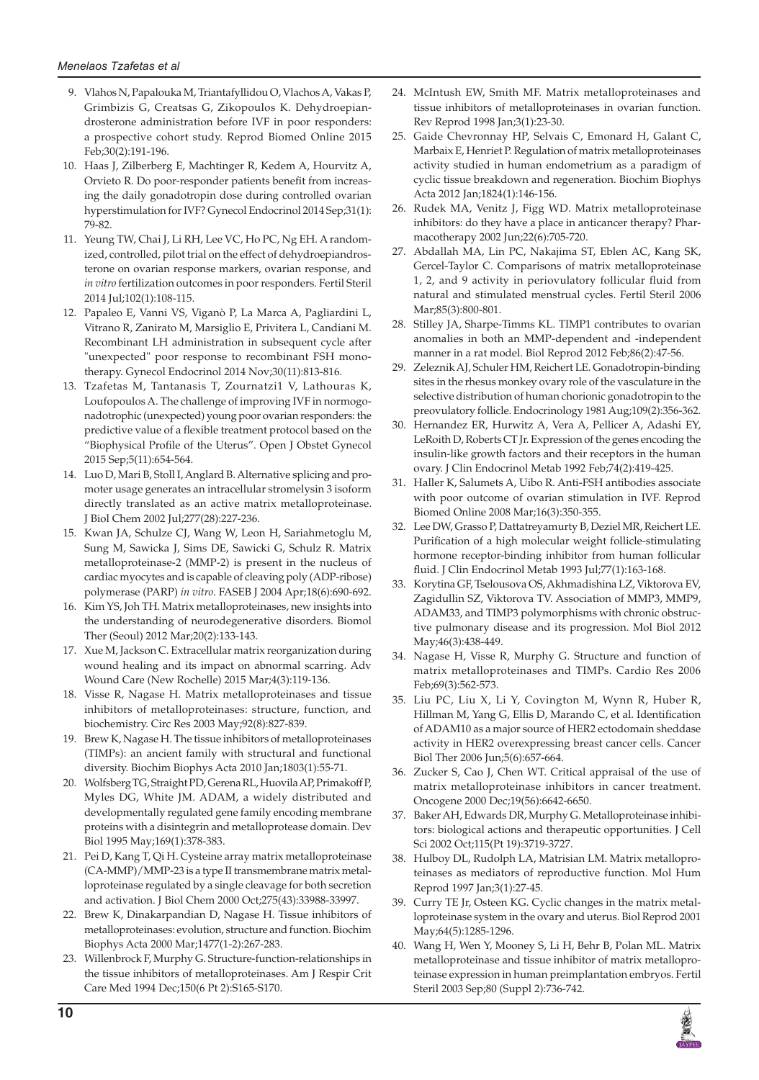- 9. Vlahos N, Papalouka M, Triantafyllidou O, Vlachos A, Vakas P, Grimbizis G, Creatsas G, Zikopoulos K. Dehydroepiandrosterone administration before IVF in poor responders: a prospective cohort study. Reprod Biomed Online 2015 Feb;30(2):191-196.
- 10. Haas J, Zilberberg E, Machtinger R, Kedem A, Hourvitz A, Orvieto R. Do poor-responder patients benefit from increasing the daily gonadotropin dose during controlled ovarian hyperstimulation for IVF? Gynecol Endocrinol 2014 Sep;31(1): 79-82.
- 11. Yeung TW, Chai J, Li RH, Lee VC, Ho PC, Ng EH. A randomized, controlled, pilot trial on the effect of dehydroepiandrosterone on ovarian response markers, ovarian response, and *in vitro* fertilization outcomes in poor responders. Fertil Steril 2014 Jul;102(1):108-115.
- 12. Papaleo E, Vanni VS, Viganò P, La Marca A, Pagliardini L, Vitrano R, Zanirato M, Marsiglio E, Privitera L, Candiani M. Recombinant LH administration in subsequent cycle after "unexpected" poor response to recombinant FSH monotherapy. Gynecol Endocrinol 2014 Nov;30(11):813-816.
- 13. Tzafetas M, Tantanasis T, Zournatzi1 V, Lathouras K, Loufopoulos A. The challenge of improving IVF in normogonadotrophic (unexpected) young poor ovarian responders: the predictive value of a flexible treatment protocol based on the "Biophysical Profile of the Uterus". Open J Obstet Gynecol 2015 Sep;5(11):654-564.
- 14. Luo D, Mari B, Stoll I, Anglard B. Alternative splicing and promoter usage generates an intracellular stromelysin 3 isoform directly translated as an active matrix metalloproteinase. J Biol Chem 2002 Jul;277(28):227-236.
- 15. Kwan JA, Schulze CJ, Wang W, Leon H, Sariahmetoglu M, Sung M, Sawicka J, Sims DE, Sawicki G, Schulz R. Matrix metalloproteinase-2 (MMP-2) is present in the nucleus of cardiac myocytes and is capable of cleaving poly (ADP-ribose) polymerase (PARP) *in vitro*. FASEB J 2004 Apr;18(6):690-692.
- 16. Kim YS, Joh TH. Matrix metalloproteinases, new insights into the understanding of neurodegenerative disorders. Biomol Ther (Seoul) 2012 Mar;20(2):133-143.
- 17. Xue M, Jackson C. Extracellular matrix reorganization during wound healing and its impact on abnormal scarring. Adv Wound Care (New Rochelle) 2015 Mar;4(3):119-136.
- 18. Visse R, Nagase H. Matrix metalloproteinases and tissue inhibitors of metalloproteinases: structure, function, and biochemistry. Circ Res 2003 May;92(8):827-839.
- 19. Brew K, Nagase H. The tissue inhibitors of metalloproteinases (TIMPs): an ancient family with structural and functional diversity. Biochim Biophys Acta 2010 Jan;1803(1):55-71.
- 20. Wolfsberg TG, Straight PD, Gerena RL, Huovila AP, Primakoff P, Myles DG, White JM. ADAM, a widely distributed and developmentally regulated gene family encoding membrane proteins with a disintegrin and metalloprotease domain. Dev Biol 1995 May;169(1):378-383.
- 21. Pei D, Kang T, Qi H. Cysteine array matrix metalloproteinase (CA-MMP)/MMP-23 is a type II transmembrane matrix metalloproteinase regulated by a single cleavage for both secretion and activation. J Biol Chem 2000 Oct;275(43):33988-33997.
- 22. Brew K, Dinakarpandian D, Nagase H. Tissue inhibitors of metalloproteinases: evolution, structure and function. Biochim Biophys Acta 2000 Mar;1477(1-2):267-283.
- 23. Willenbrock F, Murphy G. Structure-function-relationships in the tissue inhibitors of metalloproteinases. Am J Respir Crit Care Med 1994 Dec;150(6 Pt 2):S165-S170.
- 24. McIntush EW, Smith MF. Matrix metalloproteinases and tissue inhibitors of metalloproteinases in ovarian function. Rev Reprod 1998 Jan;3(1):23-30.
- 25. Gaide Chevronnay HP, Selvais C, Emonard H, Galant C, Marbaix E, Henriet P. Regulation of matrix metalloproteinases activity studied in human endometrium as a paradigm of cyclic tissue breakdown and regeneration. Biochim Biophys Acta 2012 Jan;1824(1):146-156.
- 26. Rudek MA, Venitz J, Figg WD. Matrix metalloproteinase inhibitors: do they have a place in anticancer therapy? Pharmacotherapy 2002 Jun;22(6):705-720.
- 27. Abdallah MA, Lin PC, Nakajima ST, Eblen AC, Kang SK, Gercel-Taylor C. Comparisons of matrix metalloproteinase 1, 2, and 9 activity in periovulatory follicular fluid from natural and stimulated menstrual cycles. Fertil Steril 2006 Mar;85(3):800-801.
- 28. Stilley JA, Sharpe-Timms KL. TIMP1 contributes to ovarian anomalies in both an MMP-dependent and -independent manner in a rat model. Biol Reprod 2012 Feb;86(2):47-56.
- 29. Zeleznik AJ, Schuler HM, Reichert LE. Gonadotropin-binding sites in the rhesus monkey ovary role of the vasculature in the selective distribution of human chorionic gonadotropin to the preovulatory follicle. Endocrinology 1981 Aug;109(2):356-362.
- 30. Hernandez ER, Hurwitz A, Vera A, Pellicer A, Adashi EY, LeRoith D, Roberts CT Jr. Expression of the genes encoding the insulin-like growth factors and their receptors in the human ovary. J Clin Endocrinol Metab 1992 Feb;74(2):419-425.
- 31. Haller K, Salumets A, Uibo R. Anti-FSH antibodies associate with poor outcome of ovarian stimulation in IVF. Reprod Biomed Online 2008 Mar;16(3):350-355.
- 32. Lee DW, Grasso P, Dattatreyamurty B, Deziel MR, Reichert LE. Purification of a high molecular weight follicle-stimulating hormone receptor-binding inhibitor from human follicular fluid. J Clin Endocrinol Metab 1993 Jul;77(1):163-168.
- 33. Korytina GF, Tselousova OS, Akhmadishina LZ, Viktorova EV, Zagidullin SZ, Viktorova TV. Association of MMP3, MMP9, ADAM33, and TIMP3 polymorphisms with chronic obstructive pulmonary disease and its progression. Mol Biol 2012 May;46(3):438-449.
- 34. Nagase H, Visse R, Murphy G. Structure and function of matrix metalloproteinases and TIMPs. Cardio Res 2006 Feb;69(3):562-573.
- 35. Liu PC, Liu X, Li Y, Covington M, Wynn R, Huber R, Hillman M, Yang G, Ellis D, Marando C, et al. Identification of ADAM10 as a major source of HER2 ectodomain sheddase activity in HER2 overexpressing breast cancer cells. Cancer Biol Ther 2006 Jun;5(6):657-664.
- 36. Zucker S, Cao J, Chen WT. Critical appraisal of the use of matrix metalloproteinase inhibitors in cancer treatment. Oncogene 2000 Dec;19(56):6642-6650.
- 37. Baker AH, Edwards DR, Murphy G. Metalloproteinase inhibitors: biological actions and therapeutic opportunities. J Cell Sci 2002 Oct;115(Pt 19):3719-3727.
- 38. Hulboy DL, Rudolph LA, Matrisian LM. Matrix metalloproteinases as mediators of reproductive function. Mol Hum Reprod 1997 Jan;3(1):27-45.
- 39. Curry TE Jr, Osteen KG. Cyclic changes in the matrix metalloproteinase system in the ovary and uterus. Biol Reprod 2001 May;64(5):1285-1296.
- 40. Wang H, Wen Y, Mooney S, Li H, Behr B, Polan ML. Matrix metalloproteinase and tissue inhibitor of matrix metalloproteinase expression in human preimplantation embryos. Fertil Steril 2003 Sep;80 (Suppl 2):736-742.